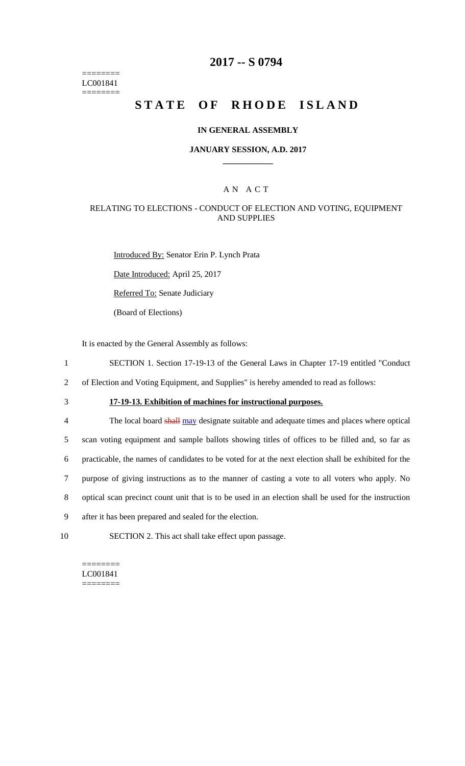======== LC001841 ========

### **2017 -- S 0794**

# **STATE OF RHODE ISLAND**

### **IN GENERAL ASSEMBLY**

### **JANUARY SESSION, A.D. 2017 \_\_\_\_\_\_\_\_\_\_\_\_**

### A N A C T

### RELATING TO ELECTIONS - CONDUCT OF ELECTION AND VOTING, EQUIPMENT AND SUPPLIES

Introduced By: Senator Erin P. Lynch Prata Date Introduced: April 25, 2017

Referred To: Senate Judiciary

(Board of Elections)

It is enacted by the General Assembly as follows:

- 1 SECTION 1. Section 17-19-13 of the General Laws in Chapter 17-19 entitled "Conduct
- 2 of Election and Voting Equipment, and Supplies" is hereby amended to read as follows:
- 

# 3 **17-19-13. Exhibition of machines for instructional purposes.**

4 The local board shall may designate suitable and adequate times and places where optical scan voting equipment and sample ballots showing titles of offices to be filled and, so far as practicable, the names of candidates to be voted for at the next election shall be exhibited for the purpose of giving instructions as to the manner of casting a vote to all voters who apply. No optical scan precinct count unit that is to be used in an election shall be used for the instruction after it has been prepared and sealed for the election.

10 SECTION 2. This act shall take effect upon passage.

#### ======== LC001841 ========